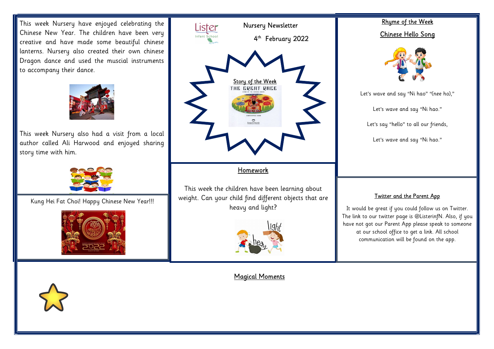Chinese New Year. The children have been very creative and have made some beautiful chinese This week Nursery have enjoyed celebrating the lanterns. Nursery also created their own chinese Dragon dance and used the muscial instruments to accompany their dance.



This week Nursery also had a visit from a local author called Ali Harwood and enjoyed sharing story time with him.



Kung Hei Fat Choi! Happy Chinese New Year!!!





 weight. Can your child find different objects that are This week the children have been learning about heavy and light?



If you would like to share you can do the share you can do this by uploading and achievements are with us at home with us, you can do this by up this by up this by up this by up this by up this by up this by up this by up

## Rhyme of the Week Chinese Hello Song



Let's wave and say "Ni hao" "(nee ho),"

Let's wave and say "Ni hao."

Let's say "hello" to all our friends,

Let's wave and say "Ni hao."

## Twitter and the Parent App

It would be great if you could follow us on Twitter. The link to our twitter page is @ListerinfN. Also, if you have not got our Parent App please speak to someone at our school office to get a link. All school communication will be found on the app.